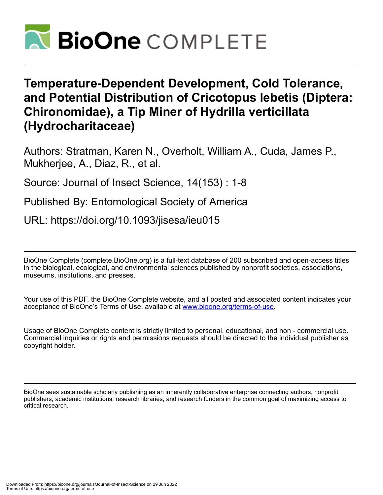

# **Temperature-Dependent Development, Cold Tolerance, and Potential Distribution of Cricotopus lebetis (Diptera: Chironomidae), a Tip Miner of Hydrilla verticillata (Hydrocharitaceae)**

Authors: Stratman, Karen N., Overholt, William A., Cuda, James P., Mukherjee, A., Diaz, R., et al.

Source: Journal of Insect Science, 14(153) : 1-8

Published By: Entomological Society of America

URL: https://doi.org/10.1093/jisesa/ieu015

BioOne Complete (complete.BioOne.org) is a full-text database of 200 subscribed and open-access titles in the biological, ecological, and environmental sciences published by nonprofit societies, associations, museums, institutions, and presses.

Your use of this PDF, the BioOne Complete website, and all posted and associated content indicates your acceptance of BioOne's Terms of Use, available at www.bioone.org/terms-of-use.

Usage of BioOne Complete content is strictly limited to personal, educational, and non - commercial use. Commercial inquiries or rights and permissions requests should be directed to the individual publisher as copyright holder.

BioOne sees sustainable scholarly publishing as an inherently collaborative enterprise connecting authors, nonprofit publishers, academic institutions, research libraries, and research funders in the common goal of maximizing access to critical research.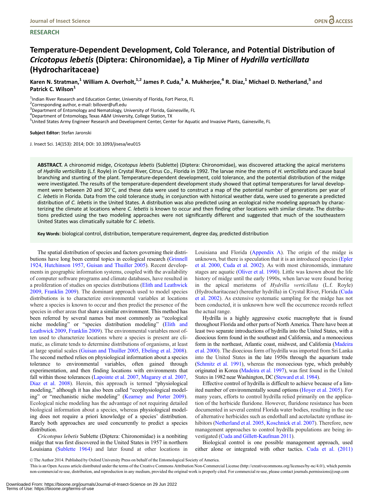### **RESEARCH**

## Temperature-Dependent Development, Cold Tolerance, and Potential Distribution of Cricotopus lebetis (Diptera: Chironomidae), a Tip Miner of Hydrilla verticillata (Hydrocharitaceae)

Karen N. Stratman,<sup>1</sup> William A. Overholt,<sup>1,2</sup> James P. Cuda,<sup>3</sup> A. Mukherjee,<sup>4</sup> R. Diaz,<sup>1</sup> Michael D. Netherland,<sup>5</sup> and Patrick C. Wilson<sup>1</sup>

<sup>1</sup>Indian River Research and Education Center, University of Florida, Fort Pierce, FL

<sup>2</sup> Corresponding author, e-mail: billover@ufl.edu

<sup>3</sup> Department of Entomology and Nematology, University of Florida, Gainesville, FL

4 Department of Entomology, Texas A&M University, College Station, TX

5 United States Army Engineer Research and Development Center, Center for Aquatic and Invasive Plants, Gainesville, FL

Subject Editor: Stefan Jaronski

J. Insect Sci. 14(153): 2014; DOI: 10.1093/jisesa/ieu015

ABSTRACT. A chironomid midge, Cricotopus lebetis (Sublette) (Diptera: Chironomidae), was discovered attacking the apical meristems of Hydrilla verticillata (L.f. Royle) in Crystal River, Citrus Co., Florida in 1992. The larvae mine the stems of H. verticillata and cause basal branching and stunting of the plant. Temperature-dependent development, cold tolerance, and the potential distribution of the midge were investigated. The results of the temperature-dependent development study showed that optimal temperatures for larval development were between 20 and 30°C, and these data were used to construct a map of the potential number of generations per year of C. lebetis in Florida. Data from the cold tolerance study, in conjunction with historical weather data, were used to generate a predicted distribution of C. lebetis in the United States. A distribution was also predicted using an ecological niche modeling approach by characterizing the climate at locations where C. lebetis is known to occur and then finding other locations with similar climate. The distributions predicted using the two modeling approaches were not significantly different and suggested that much of the southeastern United States was climatically suitable for C. lebetis.

Key Words: biological control, distribution, temperature requirement, degree day, predicted distribution

The spatial distribution of species and factors governing their distributions have long been central topics in ecological research [\(Grinnell](#page-7-0) [1924,](#page-7-0) [Hutchinson 1957,](#page-7-0) [Guisan and Thuiller 2005\)](#page-7-0). Recent developments in geographic information systems, coupled with the availability of computer software programs and climate databases, have resulted in a proliferation of studies on species distributions [\(Elith and Leathwick](#page-7-0) [2009,](#page-7-0) [Franklin 2009](#page-7-0)). The dominant approach used to model species distributions is to characterize environmental variables at locations where a species is known to occur and then predict the presence of the species in other areas that share a similar environment. This method has been referred by several names but most commonly as "ecological niche modeling" or "species distribution modeling" [\(Elith and](#page-7-0) [Leathwick 2009,](#page-7-0) [Franklin 2009\)](#page-7-0). The environmental variables most often used to characterize locations where a species is present are climatic, as climate tends to determine distributions of organisms, at least at large spatial scales [\(Guisan and Thuiller 2005,](#page-7-0) [Ebeling et al. 2008\)](#page-7-0). The second method relies on physiological information about a species tolerance to environmental variables, often gained through experimentation, and then finding locations with environments that fall within those tolerances ([Lapointe et al. 2007](#page-7-0), [Magarey et al. 2007,](#page-7-0) [Diaz et al. 2008\)](#page-7-0). Herein, this approach is termed "physiological modeling," although it has also been called "ecophysiological modeling" or "mechanistic niche modeling" ([Kearney and Porter 2009\)](#page-7-0). Ecological niche modeling has the advantage of not requiring detailed biological information about a species, whereas physiological modeling does not require a priori knowledge of a species' distribution. Rarely both approaches are used concurrently to predict a species distribution.

Cricotopus lebetis Sublette (Diptera: Chironomidae) is a nonbiting midge that was first discovered in the United States in 1957 in northern Louisiana ([Sublette 1964](#page-7-0)) and later found at other locations in

Louisiana and Florida ([Appendix A](#page-8-0)). The origin of the midge is unknown, but there is speculation that it is an introduced species ([Epler](#page-7-0) [et al. 2000](#page-7-0), [Cuda et al. 2002\)](#page-7-0). As with most chironomids, immature stages are aquatic ([Oliver et al. 1990\)](#page-7-0). Little was known about the life history of midge until the early 1990s, when larvae were found boring in the apical meristems of Hydrilla verticillata (L.f. Royle) (Hydrocharitaceae) (hereafter hydrilla) in Crystal River, Florida [\(Cuda](#page-7-0) [et al. 2002](#page-7-0)). As extensive systematic sampling for the midge has not been conducted, it is unknown how well the occurrence records reflect the actual range.

Hydrilla is a highly aggressive exotic macrophyte that is found throughout Florida and other parts of North America. There have been at least two separate introductions of hydrilla into the United States, with a dioecious form found in the southeast and California, and a monoecious form in the northeast, Atlantic coast, midwest, and California [\(Madeira](#page-7-0) [et al. 2000\)](#page-7-0). The dioecious form of hydrilla was imported from Sri Lanka into the United States in the late 1950s through the aquarium trade ([Schmitz et al. 1991](#page-7-0)), whereas the monoecious type, which probably originated in Korea ([Madeira et al. 1997\)](#page-7-0), was first found in the United States in 1982 near Washington, DC [\(Steward et al. 1984](#page-7-0)).

Effective control of hydrilla is difficult to achieve because of a limited number of environmentally sound options [\(Hoyer et al. 2005](#page-7-0)). For many years, efforts to control hydrilla relied primarily on the application of the herbicide fluridone. However, fluridone resistance has been documented in several central Florida water bodies, resulting in the use of alternative herbicides such as endothall and acetolactate synthase inhibitors ([Netherland et al. 2005](#page-7-0), [Koschnick et al. 2007](#page-7-0)). Therefore, new management approaches to control hydrilla populations are being investigated ([Cuda and Gillett-Kaufman 2011](#page-7-0)).

Biological control is one possible management approach, used either alone or integrated with other tactics. [Cuda et al. \(2011\)](#page-7-0)

V<sup>C</sup> The Author 2014. Published by Oxford University Press on behalf of the Entomological Society of America.

This is an Open Access article distributed under the terms of the Creative Commons Attribution Non-Commercial License (http://creativecommons.org/licenses/by-nc/4.0/), which permits non-commercial re-use, distribution, and reproduction in any medium, provided the original work is properly cited. For commercial re-use, please contact journals.permissions@oup.com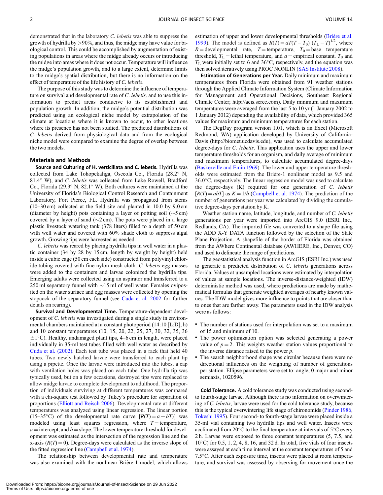demonstrated that in the laboratory C. lebetis was able to suppress the growth of hydrilla by >90%, and thus, the midge may have value for biological control. This could be accomplished by augmentation of existing populations in areas where the midge already occurs or introducing the midge into areas where it does not occur. Temperature will influence the midge's population growth, and to a large extent, determine limits to the midge's spatial distribution, but there is no information on the effect of temperature of the life history of C. lebetis.

The purpose of this study was to determine the influence of temperature on survival and developmental rate of  $C$ . *lebetis*, and to use this information to predict areas conducive to its establishment and population growth. In addition, the midge's potential distribution was predicted using an ecological niche model by extrapolation of the climate at locations where it is known to occur, to other locations where its presence has not been studied. The predicted distributions of C. lebetis derived from physiological data and from the ecological niche model were compared to examine the degree of overlap between the two models.

#### Materials and Methods

Source and Culturing of H. verticillata and C. lebetis. Hydrilla was collected from Lake Tohopekaliga, Osceola Co., Florida (28.2° N, 81.4° W), and C. lebetis was collected from Lake Rowell, Bradford Co., Florida (29.9° N, 82.1° W). Both cultures were maintained at the University of Florida's Biological Control Research and Containment Laboratory, Fort Pierce, FL. Hydrilla was propagated from stems (10–30 cm) collected at the field site and planted in 10.0 by 9.0 cm (diameter by height) pots containing a layer of potting soil  $(\sim 5 \text{ cm})$ covered by a layer of sand  $(\sim 2 \text{ cm})$ . The pots were placed in a large plastic livestock watering tank (378 liters) filled to a depth of 50 cm with well water and covered with 60% shade cloth to suppress algal growth. Growing tips were harvested as needed.

C. lebetis was reared by placing hydrilla tips in well water in a plastic container (34 by 28 by 15 cm, length by weight by height) held inside a cubic cage (50 cm each side) constructed from polyvinyl chloride tubing covered with fine nylon mesh cloth. C. lebetis egg masses were added to the containers and larvae colonized the hydrilla tips. Emerging adults were collected using an aspirator and transferred to a 250 ml separatory funnel with  $\sim$ 15 ml of well water. Females oviposited on the water surface and egg masses were collected by opening the stopcock of the separatory funnel (see [Cuda et al. 2002](#page-7-0) for further details on rearing).

Survival and Developmental Time. Temperature-dependent development of C. lebetis was investigated during a single study in environmental chambers maintained at a constant photoperiod (14:10 [L:D], h) and 10 constant temperatures (10, 15, 20, 22, 25, 27, 30, 32, 35, 36  $\pm 1^{\circ}$ C). Healthy, undamaged plant tips, 4–6 cm in length, were placed individually in 35-ml test tubes filled with well water as described by [Cuda et al. \(2002\)](#page-7-0). Each test tube was placed in a rack that held 40 tubes. Two newly hatched larvae were transferred to each plant tip using a pipette. Once the larvae were introduced into the tubes, a cap with ventilation holes was placed on each tube. One hydrilla tip was typically used, but on a few occasions, destroyed tips were replaced to allow midge larvae to complete development to adulthood. The proportion of individuals surviving at different temperatures was compared with a chi-square test followed by Tukey's procedure for separation of proportions ([Elliott and Reisch 2006\)](#page-7-0). Developmental rate at different temperatures was analyzed using linear regression. The linear portion (15–35°C) of the developmental rate curve  $[R(T) = a + bT]$  was modeled using least squares regression, where  $T =$  temperature,  $a =$  intercept, and  $b =$  slope. The lower temperature threshold for development was estimated as the intersection of the regression line and the x-axis  $(R(T) = 0)$ . Degree-days were calculated as the inverse slope of the fitted regression line [\(Campbell et al. 1974](#page-7-0)).

The relationship between developmental rate and temperature was also examined with the nonlinear Brière-1 model, which allows estimation of upper and lower developmental thresholds (Brière et al. [1999](#page-7-0)). The model is defined as  $R(T) = aT(T - T_0) (T_L - T)^{1/2}$ , where  $R =$  developmental rate,  $T =$  temperature,  $T_0 =$  base temperature threshold,  $T_{\text{L}}$  = lethal temperature, and  $a$  = empirical constant.  $T_0$  and  $T_L$  were initially set to 6 and 36°C, respectively, and the equation was then solved iteratively using PROC NONLIN [\(SAS Institute 2008](#page-7-0)).

Estimation of Generations per Year. Daily minimum and maximum temperatures from Florida were obtained from 91 weather stations through the Applied Climate Information System (Climate Information for Management and Operational Decisions, Southeast Regional Climate Center; [http://acis.sercc.com\)](http://acis.sercc.com). Daily minimum and maximum temperatures were averaged from the last 5 to 10 yr (1 January 2002 to 1 January 2012) depending the availability of data, which provided 365 values for maximum and minimum temperatures for each station.

The DegDay program version 1.01, which is an Excel (Microsoft Redmond, WA) application developed by University of California-Davis (<http://biomet.ucdavis.edu>), was used to calculate accumulated degree-days for *C. lebetis*. This application uses the upper and lower temperature thresholds for an organism, and daily average of minimum and maximum temperatures, to calculate accumulated degree-days ([Baskerville and Emin 1969\)](#page-7-0). The lower and upper temperature thresholds were estimated from the Brière-1 nonlinear model as 9.5 and 36.0-C, respectively. The linear regression model was used to calculate the degree-days (K) required for one generation of C. lebetis  $[R(T) = abT]$  as  $K = 1/b$  ([Campbell et al. 1974\)](#page-7-0). The prediction of the number of generations per year was calculated by dividing the cumulative degree-days per station by K.

Weather station name, latitude, longitude, and number of C. lebetis generations per year were imported into ArcGIS 9.0 (ESRI Inc., Redlands, CA). The imported file was converted to a shape file using the ADD X-Y DATA function followed by the selection of the State Plane Projection. A shapefile of the border of Florida was obtained from the AWhere Continental database (AWHERE, Inc., Denver, CO) and used to delineate the range of predictions.

The geostatistical analysis function in ArcGIS (ESRI Inc.) was used to generate a predicted distribution of C. lebetis generations across Florida. Values at unsampled locations were estimated by interpolation of values at sample locations. The inverse-distance-weighted (IDW) deterministic method was used, where predictions are made by mathematical formulas that generate weighted averages of nearby known values. The IDW model gives more influence to points that are closer than to ones that are farther away. The parameters used in the IDW analysis were as follows:

- The number of stations used for interpolation was set to a maximum of 15 and minimum of 10.
- The power optimization option was selected generating a power value of  $p = 2$ . This weights weather station values proportional to the inverse distance raised to the power  $p$ .
- The search neighborhood shape was circular because there were no directional influences on the weighting of number of generations per station. Ellipse parameters were set to: angle, 0 major and minor semiaxis, 1020596.

Cold Tolerance. A cold tolerance study was conducted using secondto fourth-stage larvae. Although there is no information on overwintering of C. lebetis, larvae were used for the cold tolerance study, because this is the typical overwintering life stage of chironomids ([Pinder 1986,](#page-7-0) [Tokeshi 1995](#page-7-0)). Four second- to fourth-stage larvae were placed inside a 35-ml vial containing two hydrilla tips and well water. Insects were acclimated from  $20^{\circ}$ C to the final temperature at intervals of  $5^{\circ}$ C every 2 h. Larvae were exposed to three constant temperatures (5, 7.5, and 10°C) for 0.5, 1, 2, 4, 8, 16, and 32 d. In total, five vials of four insects were assayed at each time interval at the constant temperatures of 5 and 7.5-C. After each exposure time, insects were placed at room temperature, and survival was assessed by observing for movement once the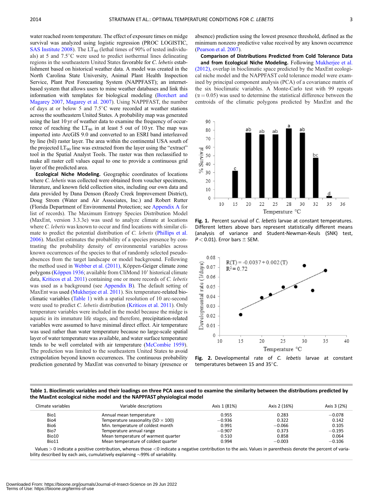<span id="page-3-0"></span>water reached room temperature. The effect of exposure times on midge survival was analyzed using logistic regression (PROC LOGISTIC, [SAS Institute 2008](#page-7-0)). The  $LT_{90}$  (lethal times of 90% of tested individuals) at 5 and 7.5°C were used to predict isothermal lines delineating regions in the southeastern United States favorable for C. lebetis establishment based on historical weather data. A model was created in the North Carolina State University, Animal Plant Health Inspection Service, Plant Pest Forecasting System (NAPPFAST); an internetbased system that allows users to mine weather databases and link this information with templates for biological modeling [\(Borchert and](#page-7-0) [Magarey 2007](#page-7-0), [Magarey et al. 2007\)](#page-7-0). Using NAPPFAST, the number of days at or below 5 and 7.5°C were recorded at weather stations across the southeastern United States. A probability map was generated using the last 10 yr of weather data to examine the frequency of occurrence of reaching the  $LT_{90}$  in at least 5 out of 10 yr. The map was imported into ArcGIS 9.0 and converted to an ESRI band interleaved by line (bil) raster layer. The area within the continental USA south of the projected  $LT_{90}$  line was extracted from the layer using the "extract" tool in the Spatial Analyst Tools. The raster was then reclassified to make all raster cell values equal to one to provide a continuous grid layer of the predicted area.

Ecological Niche Modeling. Geographic coordinates of locations where *C. lebetis* was collected were obtained from voucher specimens, literature, and known field collection sites, including our own data and data provided by Dana Denson (Reedy Creek Improvement District), Doug Strom (Water and Air Associates, Inc.) and Robert Rutter (Florida Department of Environmental Protection; see [Appendix A](#page-8-0) for list of records). The Maximum Entropy Species Distribution Model (MaxEnt, version 3.3.3e) was used to analyze climate at locations where *C. lebetis* was known to occur and find locations with similar climate to predict the potential distribution of C. lebetis [\(Phillips et al.](#page-7-0) [2006\)](#page-7-0). MaxEnt estimates the probability of a species presence by contrasting the probability density of environmental variables across known occurrences of the species to that of randomly selected pseudoabsences from the target landscape or model background. Following the method used in [Webber et al. \(2011\)](#page-7-0), Köppen-Geiger climate zone polygons (Köppen 1936; available from CliMond 10' historical climate data, [Kriticos et al. 2011](#page-7-0)) containing one or more records of C. lebetis was used as a background (see [Appendix B](#page-8-0)). The default setting of MaxEnt was used ([Mukherjee et al. 2011](#page-7-0)). Six temperature-related bioclimatic variables (Table 1) with a spatial resolution of 10 arc-second were used to predict *C. lebetis* distribution ([Kriticos et al. 2011](#page-7-0)). Only temperature variables were included in the model because the midge is aquatic in its immature life stages, and therefore, precipitation-related variables were assumed to have minimal direct effect. Air temperature was used rather than water temperature because no large-scale spatial layer of water temperature was available, and water surface temperature tends to be well correlated with air temperature ([McCombie 1959\)](#page-7-0). The prediction was limited to the southeastern United States to avoid extrapolation beyond known occurrences. The continuous probability prediction generated by MaxEnt was converted to binary (presence or absence) prediction using the lowest presence threshold, defined as the minimum nonzero predictive value received by any known occurrence ([Pearson et al. 2007](#page-7-0)).

Comparison of Distributions Predicted from Cold Tolerance Data and from Ecological Niche Modeling. Following [Mukherjee et al.](#page-7-0) [\(2012\),](#page-7-0) overlap in bioclimatic space predicted by the MaxEnt ecological niche model and the NAPPFAST cold tolerance model were examined by principal component analysis (PCA) of a covariance matrix of the six bioclimatic variables. A Monte-Carlo test with 99 repeats  $(\alpha = 0.05)$  was used to determine the statistical difference between the centroids of the climatic polygons predicted by MaxEnt and the



Fig. 1. Percent survival of C. lebetis larvae at constant temperatures. Different letters above bars represent statistically different means (analysis of variance and Student-Newman-Keuls (SNK) test,  $P < 0.01$ ). Error bars  $\pm$  SEM.



Fig. 2. Developmental rate of C. lebetis larvae at constant temperatures between 15 and  $35^{\circ}$ C.

Table 1. Bioclimatic variables and their loadings on three PCA axes used to examine the similarity between the distributions predicted by the MaxEnt ecological niche model and the NAPPFAST physiological model

| Climate variables | Variable descriptions                     | Axis 1 (81%) | Axis 2 (16%) | Axis 3 (2%) |
|-------------------|-------------------------------------------|--------------|--------------|-------------|
| Bio1              | Annual mean temperature                   | 0.955        | 0.283        | $-0.078$    |
| Bio4              | Temperature seasonality (SD $\times$ 100) | $-0.936$     | 0.322        | 0.142       |
| Bio <sub>6</sub>  | Min. temperature of coldest month         | 0.991        | $-0.066$     | 0.105       |
| Bio7              | Temperature annual range                  | $-0.907$     | 0.373        | $-0.195$    |
| Bio10             | Mean temperature of warmest quarter       | 0.510        | 0.858        | 0.064       |
| Bio11             | Mean temperature of coldest quarter       | 0.994        | $-0.003$     | $-0.106$    |

Values > 0 indicate a positive contribution, whereas those <0 indicate a negative contribution to the axis. Values in parenthesis denote the percent of variability described by each axis, cumulatively explaining  $\sim$ 99% of variability.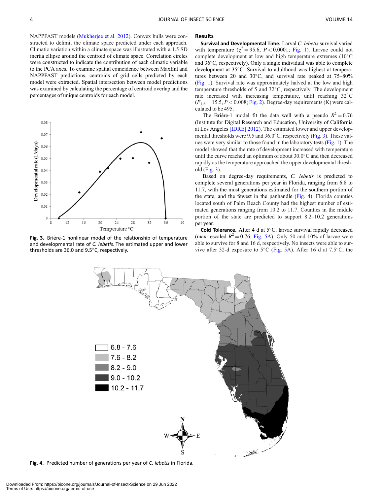NAPPFAST models [\(Mukherjee et al. 2012\)](#page-7-0). Convex hulls were constructed to delimit the climate space predicted under each approach. Climatic variation within a climate space was illustrated with a 1.5 SD inertia ellipse around the centroid of climate space. Correlation circles were constructed to indicate the contribution of each climatic variable to the PCA axes. To examine spatial coincidence between MaxEnt and NAPPFAST predictions, centroids of grid cells predicted by each model were extracted. Spatial intersection between model predictions was examined by calculating the percentage of centroid overlap and the percentages of unique centroids for each model.



Fig. 3. Brière-1 nonlinear model of the relationship of temperature and developmental rate of C. lebetis. The estimated upper and lower thresholds are  $36.0$  and  $9.5^{\circ}$ C, respectively.

#### Results

Survival and Developmental Time. Larval C. lebetis survival varied with temperature ( $\chi^2$  = 95.6, P < 0.0001; [Fig. 1\)](#page-3-0). Larvae could not complete development at low and high temperature extremes (10°C and 36°C, respectively). Only a single individual was able to complete development at 35°C. Survival to adulthood was highest at temperatures between 20 and  $30^{\circ}$ C, and survival rate peaked at  $75-80\%$ ([Fig. 1\)](#page-3-0). Survival rate was approximately halved at the low and high temperature thresholds of 5 and 32°C, respectively. The development rate increased with increasing temperature, until reaching 32°C  $(F_{1,6} = 15.5, P < 0.008; Fig. 2)$  $(F_{1,6} = 15.5, P < 0.008; Fig. 2)$ . Degree-day requirements (K) were calculated to be 495.

The Briere-1 model fit the data well with a pseudo  $R^2 = 0.76$ (Institute for Digital Research and Education, University of California at Los Angeles [\[IDRE\] 2012\)](#page-7-0). The estimated lower and upper developmental thresholds were 9.5 and 36.0°C, respectively (Fig. 3). These values were very similar to those found in the laboratory tests [\(Fig. 1](#page-3-0)). The model showed that the rate of development increased with temperature until the curve reached an optimum of about 30.0°C and then decreased rapidly as the temperature approached the upper developmental threshold (Fig. 3).

Based on degree-day requirements, C. lebetis is predicted to complete several generations per year in Florida, ranging from 6.8 to 11.7, with the most generations estimated for the southern portion of the state, and the fewest in the panhandle (Fig. 4). Florida counties located south of Palm Beach County had the highest number of estimated generations ranging from 10.2 to 11.7. Counties in the middle portion of the state are predicted to support 8.2–10.2 generations per year.

Cold Tolerance. After 4 d at 5°C, larvae survival rapidly decreased (max-rescaled  $R^2 = 0.76$ ; [Fig. 5](#page-5-0)A). Only 50 and 10% of larvae were able to survive for 8 and 16 d, respectively. No insects were able to survive after 32-d exposure to  $5^{\circ}$ C ([Fig. 5](#page-5-0)A). After 16 d at 7.5 $^{\circ}$ C, the



Fig. 4. Predicted number of generations per year of C. lebetis in Florida.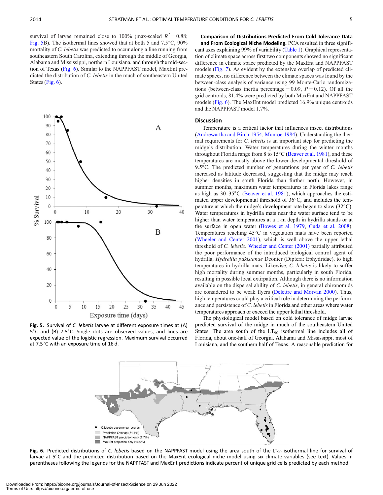<span id="page-5-0"></span>survival of larvae remained close to 100% (max-scaled  $R^2 = 0.88$ ; Fig. 5B). The isothermal lines showed that at both 5 and  $7.5^{\circ}$ C,  $90\%$ mortality of C. lebetis was predicted to occur along a line running from southeastern South Carolina, extending through the middle of Georgia, Alabama and Mississippi, northern Louisiana, and through the mid-section of Texas (Fig. 6). Similar to the NAPPFAST model, MaxEnt predicted the distribution of C. lebetis in the much of southeastern United States (Fig. 6).



Fig. 5. Survival of C. lebetis larvae at different exposure times at (A)  $5^{\circ}$ C and (B) 7.5 $^{\circ}$ C. Single dots are observed values, and lines are expected value of the logistic regression. Maximum survival occurred at  $7.5^{\circ}$ C with an exposure time of 16 d.

Comparison of Distributions Predicted From Cold Tolerance Data and From Ecological Niche Modeling. PCA resulted in three significant axes explaining 99% of variability ([Table 1\)](#page-3-0). Graphical representation of climate space across first two components showed no significant difference in climate space predicted by the MaxEnt and NAPPFAST models ([Fig. 7\)](#page-6-0). As evident by the extensive overlap of predicted climate spaces, no difference between the climate spaces was found by the between-class analysis of variance using 99 Monte-Carlo randomizations (between-class inertia percentage  $= 0.09$ ,  $P = 0.12$ ). Of all the grid centroids, 81.4% were predicted by both MaxEnt and NAPPFAST models (Fig. 6). The MaxEnt model predicted 16.9% unique centroids and the NAPPFAST model 1.7%.

#### Discussion

Temperature is a critical factor that influences insect distributions ([Andrewartha and Birch 1954,](#page-7-0) [Munroe 1984\)](#page-7-0). Understanding the thermal requirements for C. lebetis is an important step for predicting the midge's distribution. Water temperatures during the winter months throughout Florida range from 8 to 15°C [\(Beaver et al. 1981\)](#page-7-0), and these temperatures are mostly above the lower developmental threshold of 9.5°C. The predicted number of generations per year of C. lebetis increased as latitude decreased, suggesting that the midge may reach higher densities in south Florida than further north. However, in summer months, maximum water temperatures in Florida lakes range as high as 30-35°C [\(Beaver et al. 1981](#page-7-0)), which approaches the estimated upper developmental threshold of 36°C, and includes the temperature at which the midge's development rate began to slow  $(32^{\circ}C)$ . Water temperatures in hydrilla mats near the water surface tend to be higher than water temperatures at a 1-m depth in hydrilla stands or at the surface in open water [\(Bowes et al. 1979](#page-7-0), [Cuda et al. 2008\)](#page-7-0). Temperatures reaching 45°C in vegetation mats have been reported ([Wheeler and Center 2001\)](#page-7-0), which is well above the upper lethal threshold of C. lebetis. [Wheeler and Center \(2001\)](#page-7-0) partially attributed the poor performance of the introduced biological control agent of hydrilla, Hydrellia pakistanae Deonier (Diptera: Ephydridae), to high temperatures in hydrilla mats. Likewise, C. lebetis is likely to suffer high mortality during summer months, particularly in south Florida, resulting in possible local extirpation. Although there is no information available on the dispersal ability of C. lebetis, in general chironomids are considered to be weak flyers [\(Delettre and Morvan 2000](#page-7-0)). Thus, high temperatures could play a critical role in determining the performance and persistence of C. lebetis in Florida and other areas where water temperatures approach or exceed the upper lethal threshold.

The physiological model based on cold tolerance of midge larvae predicted survival of the midge in much of the southeastern United States. The area south of the  $LT_{90}$  isothermal line includes all of Florida, about one-half of Georgia, Alabama and Mississippi, most of Louisiana, and the southern half of Texas. A reasonable prediction for



Fig. 6. Predicted distributions of C. lebetis based on the NAPPFAST model using the area south of the LT<sub>90</sub> isothermal line for survival of larvae at 5°C and the predicted distribution based on the MaxEnt ecological niche model using six climate variables (see text). Values in parentheses following the legends for the NAPPFAST and MaxEnt predictions indicate percent of unique grid cells predicted by each method.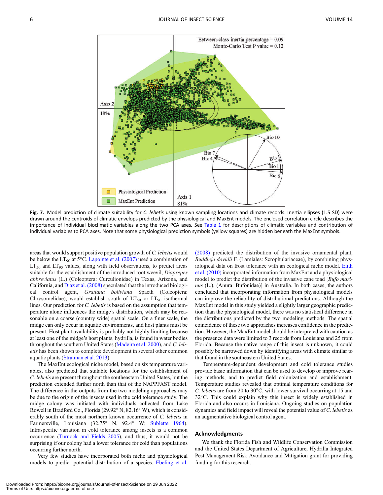<span id="page-6-0"></span>

Fig. 7. Model prediction of climate suitability for C. lebetis using known sampling locations and climate records. Inertia ellipses (1.5 SD) were drawn around the centroids of climatic envelops predicted by the physiological and MaxEnt models. The enclosed correlation circle describes the importance of individual bioclimatic variables along the two PCA axes. See [Table 1](#page-3-0) for descriptions of climatic variables and contribution of individual variables to PCA axes. Note that some physiological prediction symbols (yellow squares) are hidden beneath the MaxEnt symbols.

areas that would support positive population growth of C. lebetis would be below the  $LT_{90}$  at  $5^{\circ}$ C. [Lapointe et al. \(2007\)](#page-7-0) used a combination of  $LT_{50}$  and  $LT_{95}$  values, along with field observations, to predict areas suitable for the establishment of the introduced root weevil, Diaprepes abbreviatus (L.) (Coleoptera: Curculionidae) in Texas, Arizona, and California, and [Diaz et al. \(2008\)](#page-7-0) speculated that the introduced biological control agent, Gratiana boliviana Spaeth (Coleoptera: Chrysomelidae), would establish south of  $LT_{50}$  or  $LT_{90}$  isothermal lines. Our prediction for C. lebetis is based on the assumption that temperature alone influences the midge's distribution, which may be reasonable on a coarse (country wide) spatial scale. On a finer scale, the midge can only occur in aquatic environments, and host plants must be present. Host plant availability is probably not highly limiting because at least one of the midge's host plants, hydrilla, is found in water bodies throughout the southern United States [\(Madeira et al. 2000](#page-7-0)), and C. lebetis has been shown to complete development in several other common aquatic plants [\(Stratman et al. 2013\)](#page-7-0).

The MaxEnt ecological niche model, based on six temperature variables, also predicted that suitable locations for the establishment of C. lebetis are present throughout the southeastern United States, but the prediction extended further north than that of the NAPPFAST model. The difference in the outputs from the two modeling approaches may be due to the origin of the insects used in the cold tolerance study. The midge colony was initiated with individuals collected from Lake Rowell in Bradford Co., Florida (29.92° N, 82.16° W), which is considerably south of the most northern known occurrence of C. lebetis in Farmersville, Louisiana (32.75° N, 92.4° W; [Sublette 1964\)](#page-7-0). Intraspecific variation in cold tolerance among insects is a common occurrence [\(Turnock and Fields 2005\)](#page-7-0), and thus, it would not be surprising if our colony had a lower tolerance for cold than populations occurring further north.

Very few studies have incorporated both niche and physiological models to predict potential distribution of a species. [Ebeling et al.](#page-7-0) [\(2008\)](#page-7-0) predicted the distribution of the invasive ornamental plant, Buddleja davidii F. (Lamiales: Scrophulariaceae), by combining physiological data on frost tolerance with an ecological niche model. [Elith](#page-7-0) [et al. \(2010\)](#page-7-0) incorporated information from MaxEnt and a physiological model to predict the distribution of the invasive cane toad [Bufo marinus (L.), (Anura: Bufonidae)] in Australia. In both cases, the authors concluded that incorporating information from physiological models can improve the reliability of distributional predictions. Although the MaxEnt model in this study yielded a slightly larger geographic prediction than the physiological model, there was no statistical difference in the distributions predicted by the two modeling methods. The spatial coincidence of these two approaches increases confidence in the prediction. However, the MaxEnt model should be interpreted with caution as the presence data were limited to 3 records from Louisiana and 25 from Florida. Because the native range of this insect is unknown, it could possibly be narrowed down by identifying areas with climate similar to that found in the southeastern United States.

Temperature-dependent development and cold tolerance studies provide basic information that can be used to develop or improve rearing methods, and to predict field colonization and establishment. Temperature studies revealed that optimal temperature conditions for C. lebetis are from 20 to 30 $^{\circ}$ C, with lower survival occurring at 15 and 32°C. This could explain why this insect is widely established in Florida and also occurs in Louisiana. Ongoing studies on population dynamics and field impact will reveal the potential value of C. lebetis as an augmentative biological control agent.

#### Acknowledgments

We thank the Florida Fish and Wildlife Conservation Commission and the United States Department of Agriculture, Hydrilla Integrated Pest Management Risk Avoidance and Mitigation grant for providing funding for this research.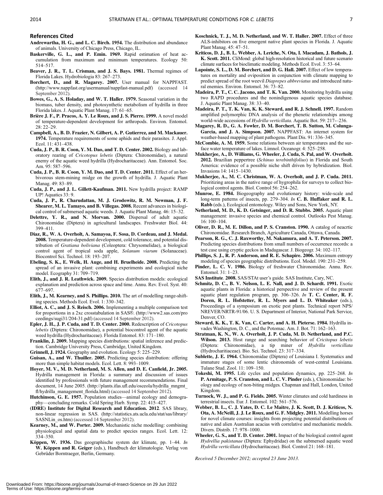### <span id="page-7-0"></span>References Cited

- Andrewartha, H. G., and L. C. Birch. 1954. The distribution and abundance of animals. University of Chicago Press, Chicago, IL.
- Baskerville, G. L., and P. Emin. 1969. Rapid estimation of heat accumulation from maximum and minimum temperatures. Ecology 50: 514–517.
- Beaver, J. R., T. L. Crisman, and J. S. Bays. 1981. Thermal regimes of Florida Lakes. Hydrobiologia 83: 267–273.
- Borchert, D., and R. Magarey. 2007. User manual for NAPPFAST. (<http://www.nappfast.org/usermanual/nappfast-manual.pdf>) (accessed 14 September 2012).
- Bowes, G., A. S. Holaday, and W. T. Haller. 1979. Seasonal variation in the biomass, tuber density, and photosynthetic metabolism of hydrilla in three Florida lakes. J. Aquatic Plant Manag. 17: 61–65.
- Brière J. F., P. Pracos, A. Y. Le Roux, and J. S. Pierre. 1999. A novel model of temperature-dependent development for arthropods. Environ. Entomol.  $28 \cdot 22 - 29$
- Campbell, A., B. D. Frazier, N. Gilbert, A. P. Gutierrez, and M. Mackauer. 1974. Temperature requirements of some aphids and their parasites. J. Appl. Ecol.  $11:431-438$ .
- Cuda, J. P., B. R. Coon, Y. M. Dao, and T. D. Center. 2002. Biology and laboratory rearing of Cricotopus lebetis (Diptera: Chironomidae), a natural enemy of the aquatic weed hydrilla (Hydrocharitaceae). Ann. Entomol. Soc. Am. 95: 587–596.
- Cuda, J. P., B. R. Coon, Y. M. Dao, and T. D. Center. 2011. Effect of an herbivorous stem-mining midge on the growth of hydrilla. J. Aquatic Plant Manag. 49: 83–89.
- Cuda, J. P., and J. L. Gillett-Kaufman. 2011. New hydrilla project: RAMP UP! Aquatics 33: 9.
- Cuda, J. P., R. Charudattan, M. J. Grodowitz, R. M. Newman, J. F. Shearer, M. L. Tamayo, and B. Villegas. 2008. Recent advances in biological control of submersed aquatic weeds. J. Aquatic Plant Manag. 46: 15–32.
- Delettre, Y. R., and N. Morvan. 2000. Dispersal of adult aquatic Chironomidae (Diptera) in agricultural landscapes. Freshwater Biol. 44: 399–411.
- Diaz, R., W. A. Overholt, A. Samayoa, F. Sosa, D. Cordeau, and J. Medal. 2008. Temperature-dependent development, cold tolerance, and potential distribution of Gratiana boliviana (Coleoptera: Chrysomelidae), a biological control agent of tropical soda apple, Solanum viarum (Solanaceae). Biocontrol Sci. Technol. 18: 193–207.
- Ebeling, S. K., E. Welk, H. Auge, and H. Bruelheide. 2008. Predicting the spread of an invasive plant: combining experiments and ecological niche model. Ecography 31: 709–719.
- Elith, J., and J. R. Leathwick. 2009. Species distribution models: ecological explanation and prediction across space and time. Annu. Rev. Evol. Syst. 40: 677–697.
- Elith, J., M. Kearney, and S. Phillips. 2010. The art of modelling range-shifting species. Methods Ecol. Evol. 1: 330–342.
- Elliot, A. C., and J. S. Reisch. 2006. Implementing a multiple comparison test for proportions in a 2xc crosstabulation in SAS®. [\(http://www2.sas.com/pro](http://www2.sas.com/proceedings/sugi31/204-31.pdf) [ceedings/sugi31/204-31.pdf](http://www2.sas.com/proceedings/sugi31/204-31.pdf)) (accessed 14 September 2012).
- Epler, J. H., J. P. Cuda, and T. D. Center. 2000. Redescription of Cricotopus lebetis (Diptera: Chironomidae), a potential biocontrol agent of the aquatic weed hydrilla (Hydrocharitaceae). Florida Entomol. 83: 171–180.
- Franklin, J. 2009. Mapping species distributions: spatial inference and prediction. Cambridge University Press, Cambridge, United Kingdom.
- Grinnell, J. 1924. Geography and evolution. Ecology 5: 225–229.
- Guisan, A., and W. Thuiller. 2005. Predicting species distribution: offering more than simple habitat models. Ecol. Lett. 8: 993–1009.
- Hoyer, M. V., M. D. Netherland, M. S. Allen, and D. E. Canfield, Jr. 2005. Hydrilla management in Florida: a summary and discussion of issues identified by professionals with future management recommendations. Final document, 14 June 2005. [\(http://plants.ifas.ufl.edu/osceola/hydrilla\\_mngmt\\_](http://plants.ifas.ufl.edu/osceola/hydrilla_mngmt_fl/hydrilla_management_florida.html) [fl/hydrilla\\_management\\_florida.html](http://plants.ifas.ufl.edu/osceola/hydrilla_mngmt_fl/hydrilla_management_florida.html)) (accessed 14 September 2012).
- Hutchinson, G. E. 1957. Population studies—animal ecology and demography—concluding remarks. Cold Spring Harb. Symp. 22: 415–427.
- (IDRE) Institute for Digital Research and Education. 2012. SAS library, non-linear regression in SAS. ([http://statistics.ats.ucla.edu/stat/sas/library/](http://statistics.ats.ucla.edu/stat/sas/library/SASNLin_os.htm) [SASNLin\\_os.htm\)](http://statistics.ats.ucla.edu/stat/sas/library/SASNLin_os.htm) (accessed 14 September 2012).
- Kearney, M., and W. Porter. 2009. Mechanistic niche modelling: combining physiological and spatial data to predict species ranges. Ecol. Lett. 12: 334–350.
- Köppen, W. 1936. Das geographische system der klimate, pp.  $1-44$ . In W. Köppen and R. Geiger (eds.), Handbuch der klimatologie. Verlag von Gebrüder Borntraeger, Berlin, Germany.
- Koschnick, T. J., M. D. Netherland, and W. T. Haller. 2007. Effect of three ALS-inhibitors on five emergent native plant species in Florida. J. Aquatic Plant Manag. 45: 47–51.
- Kriticos, D. J., B. L. Webber, A. Leriche, N. Ota, I. Macadam, J. Bathols, J. K. Scott. 2011. CliMond: global high-resolution historical and future scenario climate surfaces for bioclimatic modeling. Methods Ecol. Evol. 3: 53–64.
- Lapointe, S. L., D. M. Borchert, and D. G. Hall. 2007. Effect of low temperatures on mortality and oviposition in conjunction with climate mapping to predict spread of the root weevil Diaprepes abbreviatus and introduced natural enemies. Environ. Entomol. 36: 73–82.
- Madeira, P. T., C. C. Jacono, and T. K. Van. 2000. Monitoring hydrilla using two RAPD procedures and the nonindigenous aquatic species database. J. Aquatic Plant Manag. 38: 33–40.
- Madeira, P. T., T. K. Van, K. K. Steward, and R. J. Schnell. 1997. Random amplified polymorphic DNA analysis of the phenetic relationships among world-wide accessions of Hydrilla verticillata. Aquatic Bot. 59: 217-236.
- Magarey, R. D., G. A. Fowler, D. M. Borchert, T. B. Sutton, M. Colunga-Garcia, and J. A. Simpson. 2007. NAPPFAST: An internet system for weather-based mapping of plant pathogens. Plant Dis. 91: 336–345.
- McCombie, A. M. 1959. Some relations between air temperatures and the surface water temperature of lakes. Limnol. Oceanogr. 4: 525–258.
- Mukherjee, A., D. Williams, G. Wheeler, J. Cuda, S. Pal, and W. Overholt. 2012. Brazilian peppertree (Schinus terebinthifolius) in Florida and South America: evidence of a possible niche shift driven by hybridization. Biol. Invasions 14: 1415–1430.
- Mukherjee, A., M. C. Christman, W. A. Overholt, and J. P. Cuda. 2011. Prioritizing areas in the native range of hygrophila for surveys to collect biological control agents. Biol. Control 56: 254–262.
- Munroe, E. 1984. Biogeography and evolutionary history: wide-scale and long-term patterns of insects, pp. 279–304. In C. B. Huffaker and R. L. Rabb (eds.), Ecological entomology. Wiley and Sons, New York, NY.
- Netherland, M. D., K. D. Getsinger, and D. R. Stubbs. 2005. Aquatic plant management: invasive species and chemical control. Outlooks Pest Manag. 16: 100–104.
- Oliver, D. R., M. E. Dillon, and P. S. Cranston. 1990. A catalog of neacrtic Chironomidae. Research Branch, Agriculture Canada, Ottawa, Canada.
- Pearson, R. G., C. J. Raxworthy, M. Nakamura, and A. T. Peterson. 2007. Predicting species distributions from small numbers of occurrence records: a test case using cryptic geckos in Madagascar. J. Biogeogr. 34: 102–117.
- Phillips, S. J., R. P. Anderson, and R. E. Schapire. 2006. Maximum entropy modeling of species geographic distributions. Ecol. Model. 190: 231–259.
- Pinder, L. C. V. 1986. Biology of freshwater Chironomidae. Annu. Rev. Entomol. 31: 1–23.
- SAS Institute. 2008. SAS/STAt user's guide. SAS Institute, Cary, NC.
- Schmitz, D. C., B. V. Nelson, L. E. Nall, and J. D. Schardt. 1991. Exotic aquatic plants in Florida: a historical perspective and review of the present aquatic plant regulation program, pp. 306–326. In T. C. Center, R. F. Doren, R. L. Hofstetter, R. L. Myers and L. D. Whiteaker (eds.), Proceedings of a symposium on exotic pest plants. Technical report NPS/ NREVER/NRTR-91/06. U. S. Department of Interior, National Park Service, Denver, CO.
- Steward, K. K., T. K. Van, C. Carter, and A. H. Pieterse. 1984. Hydrilla invades Washington, D. C., and the Potomac. Am. J. Bot. 71: 162–163.
- Stratman, K. N., W. A. Overholt, J. P. Cuda, M. D. Netherland, and P.C. Wilson. 2013. Host range and searching behavior of Cricitopus lebetis (Diptera: Chironomidae), a tip miner of Hydrilla verticillata (Hydrocharitiaceae). Bio. Sci. Technol. 23: 317–334.
- Sublette, J. E. 1964. Chironomidae (Diptera) of Louisiana I. Systematics and immature stages of some lentic chironomids of west-central Louisiana. Tulane Stud. Zool. 11: 109–150.
- Tokeshi, M. 1995. Life cycles and population dynamics, pp. 225–268. In P. Armitage, P. S. Cranston, and L. C. V. Pinder (eds.), Chironomidae: biology and ecology of non-biting midges. Chapman and Hall, London, United Kingdom.
- Turnock, W. J., and P. G. Fields. 2005. Winter climates and cold hardiness in terrestrial insects. Eur. J. Entomol. 102: 561–576.
- Webber, B. L., C. J. Yates, D. C. Le Maitre, J. K. Scott, D. J. Kriticos, N. Ota, A. McNeill, J. J. Le Roux, and G. F. Midgley. 2011. Modelling horses for novel climate courses: insights from projecting potential distributions of native and alien Australian acacias with correlative and mechanistic models. Divers. Distrib. 17: 978–1000.
- Wheeler, G. S., and T. D. Center. 2001. Impact of the biological control agent Hydrellia pakistanae (Diptera: Ephydridae) on the submersed aquatic weed Hydrilla verticillata (Hydrocharitaceae). Biol. Control 21: 168–181.

Received 5 December 2012; accepted 23 June 2013.